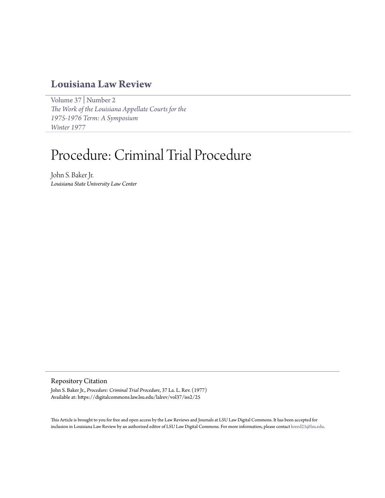# **[Louisiana Law Review](https://digitalcommons.law.lsu.edu/lalrev)**

[Volume 37](https://digitalcommons.law.lsu.edu/lalrev/vol37) | [Number 2](https://digitalcommons.law.lsu.edu/lalrev/vol37/iss2) *[The Work of the Louisiana Appellate Courts for the](https://digitalcommons.law.lsu.edu/lalrev/vol37/iss2) [1975-1976 Term: A Symposium](https://digitalcommons.law.lsu.edu/lalrev/vol37/iss2) [Winter 1977](https://digitalcommons.law.lsu.edu/lalrev/vol37/iss2)*

# Procedure: Criminal Trial Procedure

John S. Baker Jr. *Louisiana State University Law Center*

# Repository Citation

John S. Baker Jr., *Procedure: Criminal Trial Procedure*, 37 La. L. Rev. (1977) Available at: https://digitalcommons.law.lsu.edu/lalrev/vol37/iss2/25

This Article is brought to you for free and open access by the Law Reviews and Journals at LSU Law Digital Commons. It has been accepted for inclusion in Louisiana Law Review by an authorized editor of LSU Law Digital Commons. For more information, please contact [kreed25@lsu.edu](mailto:kreed25@lsu.edu).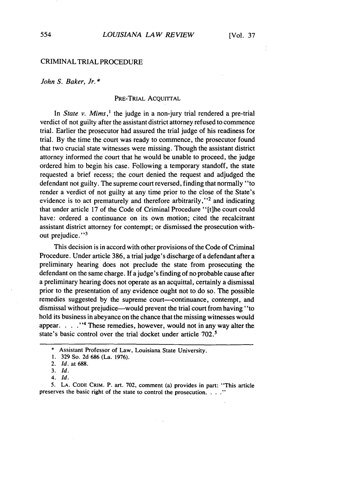# CRIMINAL TRIAL PROCEDURE

*John S. Baker, Jr. \**

# PRE-TRIAL ACOUITTAL

In *State v. Mims,'* the judge in a non-jury trial rendered a pre-trial verdict of not guilty after the assistant district attorney refused to commence trial. Earlier the prosecutor had assured the trial judge of his readiness for trial. By the time the court was ready to commence, the prosecutor found that two crucial state witnesses were missing. Though the assistant district attorney informed the court that he would be unable to proceed, the judge ordered him to begin his case. Following a temporary standoff, the state requested a brief recess; the court denied the request and adjudged the defendant not guilty. The supreme court reversed, finding that normally "to render a verdict of not guilty at any time prior to the close of the State's evidence is to act prematurely and therefore arbitrarily,''2 and indicating that under article 17 of the Code of Criminal Procedure "[t]he court could have: ordered a continuance on its own motion; cited the recalcitrant assistant district attorney for contempt; or dismissed the prosecution without prejudice."<sup>3</sup>

This decision is in accord with other provisions of the Code of Criminal Procedure. Under article 386, a trial judge's discharge of a defendant after a preliminary hearing does not preclude the state from prosecuting the defendant on the same charge. If a judge's finding of no probable cause after a preliminary hearing does not operate as an acquittal, certainly a dismissal prior to the presentation of any evidence ought not to do so. The possible remedies suggested by the supreme court--continuance, contempt, and dismissal without prejudice-would prevent the trial court from having "to hold its business in abeyance on the chance that the missing witnesses would appear. . **.** .**"'** These remedies, however, would not in any way alter the state's basic control over the trial docket under article 702.<sup>5</sup>

5. **LA. CODE** CRIM. P. art. 702, comment (a) provides in part: "This article preserves the basic right of the state to control the prosecution. **.. ."**

**<sup>\*</sup>** Assistant Professor of Law, Louisiana State University.

<sup>1. 329</sup> So. 2d 686 (La. 1976).

<sup>2.</sup> *Id.* at 688.

**<sup>3.</sup>** *Id.*

<sup>4.</sup> *Id.*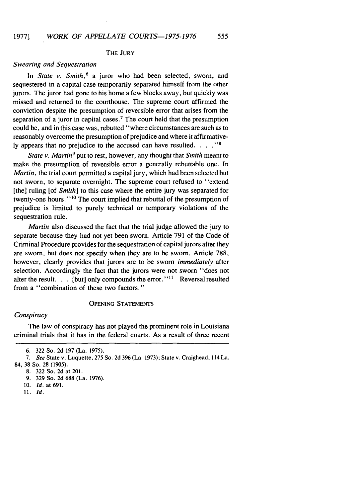# THE JURY

# *Swearing and Sequestration*

In *State v. Smith*,<sup>6</sup> a juror who had been selected, sworn, and sequestered in a capital case temporarily separated himself from the other jurors. The juror had gone to his home a few blocks away, but quickly was missed and returned to the courthouse. The supreme court affirmed the conviction despite the presumption of reversible error that arises from the separation of a juror in capital cases.<sup>7</sup> The court held that the presumption could be, and in this case was, rebutted "where circumstances are such as to reasonably overcome the presumption of prejudice and where it affirmatively appears that no prejudice to the accused can have resulted. . . . . "<sup>8</sup>

*State v. Martin9* put to rest, however, any thought that *Smith* meant to make the presumption of reversible error a generally rebuttable one. In *Martin,* the trial court permitted a capital jury, which had been selected but not sworn, to separate overnight. The supreme court refused to "extend [the] ruling [of *Smith*] to this case where the entire jury was separated for twenty-one hours."<sup>10</sup> The court implied that rebuttal of the presumption of prejudice is limited to purely technical or temporary violations of the sequestration rule.

*Martin* also discussed the fact that the trial judge allowed the jury to separate because they had not yet been sworn. Article 791 of the Code of Criminal Procedure provides for the sequestration of capital jurors after they are sworn, but does not specify when they are to be sworn. Article 788, however, clearly provides that jurors are to be sworn *immediately* after selection. Accordingly the fact that the jurors were not sworn "does not alter the result. . . [but] only compounds the error."<sup>11</sup> Reversal resulted from a "combination of these two factors."

### OPENING STATEMENTS

# *Conspiracy*

The law of conspiracy has not played the prominent role in Louisiana criminal trials that it has in the federal courts. As a result of three recent

*11. Id.*

<sup>6. 322</sup> So. 2d 197 (La. 1975).

*<sup>7.</sup>* See State v. Luquette, 275 So. 2d 396 (La. 1973); State v. Craighead, 114 La.

<sup>84,</sup> **38** So. 28 (1905).

<sup>8. 322</sup> So. 2d at 201.

<sup>9. 329</sup> So. 2d 688 (La. 1976).

**<sup>10.</sup>** *Id.* at 691.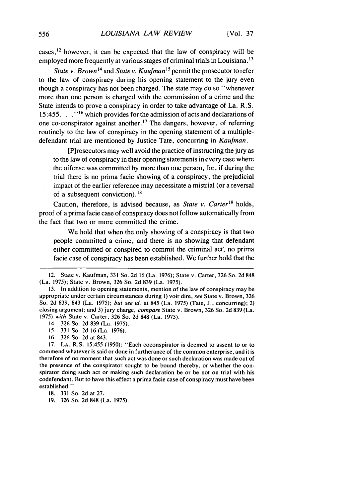cases,  $12$  however, it can be expected that the law of conspiracy will be employed more frequently at various stages of criminal trials in Louisiana.<sup>13</sup>

*State v. Brown*<sup>14</sup> and *State v. Kaufman*<sup>15</sup> permit the prosecutor to refer to the law of conspiracy during his opening statement to the jury even though a conspiracy has not been charged. The state may do so "whenever more than one person is charged with the commission of a crime and the State intends to prove a conspiracy in order to take advantage of La. R.S. 15:455. **16** which provides for the admission of acts and declarations of one co-conspirator against another.<sup>17</sup> The dangers, however, of referring routinely to the law of conspiracy in the opening statement of a multipledefendant trial are mentioned by Justice Tate, concurring in *Kaufman.*

[P]rosecutors may well avoid the practice of instructing the jury as to the law of conspiracy in their opening statements in every case where the offense was committed by more than one person, for, if during the trial there is no prima facie showing of a conspiracy, the prejudicial impact of the earlier reference may necessitate a mistrial (or a reversal of a subsequent conviction).<sup>18</sup>

Caution, therefore, is advised because, as *State v. Carter'9* holds, proof of a prima facie case of conspiracy does not follow automatically from the fact that two or more committed the crime.

We hold that when the only showing of a conspiracy is that two people committed a crime, and there is no showing that defendant either committed or conspired to commit the criminal act, no prima facie case of conspiracy has been established. We further hold that the

- *15.* 331 So. 2d 16 (La. 1976).
- 16. 326 So. 2d at 843.

<sup>12.</sup> State v. Kaufman, 331 So. 2d 16 (La. 1976); State v. Carter, 326 So. 2d 848 (La. 1975); State v. Brown, 326 So. 2d 839 (La. 1975).

<sup>13.</sup> In addition to opening statements, mention of the law of conspiracy may be appropriate under certain circumstances during 1) voir dire, see State v. Brown, 326 So. 2d 839, 843 (La. 1975); *but* see *id.* at 845 (La. 1975) (Tate, **J.,** concurring); 2) closing argument; and 3) jury charge, compare State v. Brown, 326 So. 2d 839 (La. 1975) *with* State v. Carter, 326 So. 2d 848 (La. 1975).

<sup>14. 326</sup> So. 2d 839 (La. 1975).

<sup>17.</sup> **LA.** R.S. 15:455 (1950): "Each coconspirator is deemed to assent to or to commend whatever is said or done in furtherance of the common enterprise, and it is therefore of no moment that such act was done or such declaration was made out of the presence of the conspirator sought to be bound thereby, or whether the conspirator doing such act or making such declaration be or be not on trial with his codefendant. But to have this effect a prima facie case of conspiracy must have been established."

**<sup>18. 331</sup>** So. **2d** at **27.**

<sup>19. 326</sup> So. 2d 848 (La. 1975).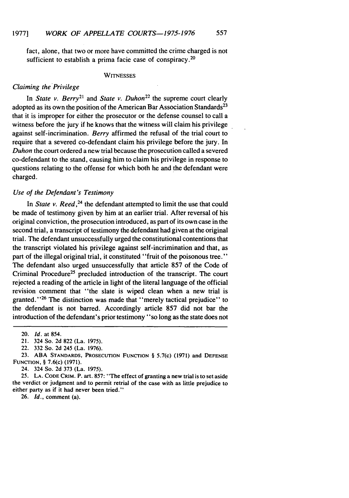fact, alone, that two or more have committed the crime charged is not sufficient to establish a prima facie case of conspiracy.<sup>20</sup>

#### **WITNESSES**

# *Claiming the Privilege*

In *State v. Berry*<sup>21</sup> and *State v. Duhon*<sup>22</sup> the supreme court clearly adopted as its own the position of the American Bar Association Standards<sup>23</sup> that it is improper for either the prosecutor or the defense counsel to call a witness before the jury if he knows that the witness will claim his privilege against self-incrimination. *Berry* affirmed the refusal of the trial court to require that a severed co-defendant claim his privilege before the jury. In *Duhon* the court ordered a new trial because the prosecution called a severed co-defendant to the stand, causing him to claim his privilege in response to questions relating to the offense for which both he and the defendant were charged.

# *Use of the Defendant's Testimony*

In *State v. Reed*,<sup>24</sup> the defendant attempted to limit the use that could be made of testimony given by him at an earlier trial. After reversal of his original conviction, the prosecution introduced, as part of its own case in the second trial, a transcript of testimony the defendant had given at the original trial. The defendant unsuccessfully urged the constitutional contentions that the transcript violated his privilege against self-incrimination and that, as part of the illegal original trial, it constituted "fruit of the poisonous tree." The defendant also urged unsuccessfully that article 857 of the Code of Criminal Procedure<sup>25</sup> precluded introduction of the transcript. The court rejected a reading of the article in light of the literal language of the official revision comment that "the slate is wiped clean when a new trial is granted."<sup>26</sup> The distinction was made that "merely tactical prejudice" to the defendant is not barred. Accordingly article 857 did not bar the introduction of the defendant's prior testimony "so long as the state does not

23. **ABA STANDARDS, PROSECUTION** FUNCTION § 5.7(c) (1971) and **DEFENSE** FUNCTION, § 7.6(c) (1971).

24. 324 So. 2d 373 (La. 1975).

*25.* LA. CODE CRIM. P. art. 857: "The effect of granting a new trial is to set aside the verdict or judgment and to permit retrial of the case with as little prejudice to either party as if it had never been tried."

26. *Id.,* comment (a).

<sup>20.</sup> *Id.* at 854.

<sup>21. 324</sup> So. 2d 822 (La. 1975).

<sup>22. 332</sup> So. 2d 245 (La. 1976).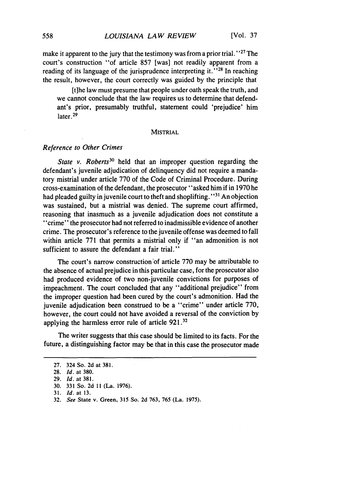make it apparent to the jury that the testimony was from a prior trial.<sup> $127$ </sup> The court's construction "of article 857 [was] not readily apparent from a reading of its language of the jurisprudence interpreting it. **"28** In reaching the result, however, the court correctly was guided by the principle that

[the law must presume that people under oath speak the truth, and we cannot conclude that the law requires us to determine that defendant's prior, presumably truthful, statement could 'prejudice' him later. <sup>29</sup>

#### MISTRIAL

#### *Reference to Other Crimes*

State v. Roberts<sup>30</sup> held that an improper question regarding the defendant's juvenile adjudication of delinquency did not require a mandatory mistrial under article 770 of the Code of Criminal Procedure. During cross-examination of the defendant, the prosecutor "asked him if in 1970 he had pleaded guilty in juvenile court to theft and shoplifting. **"31** An objection was sustained, but a mistrial was denied. The supreme court affirmed, reasoning that inasmuch as a juvenile adjudication does not constitute a 'crime" the prosecutor had not referred to inadmissible evidence of another crime. The prosecutor's reference to the juvenile offense was deemed to fall within article 771 that permits a mistrial only if "an admonition is not sufficient to assure the defendant a fair trial."

The court's narrow construction'of article 770 may be attributable to the absence of actual prejudice in this particular case, for the prosecutor also had produced evidence of two non-juvenile convictions for purposes of impeachment. The court concluded that any "additional prejudice" from the improper question had been cured by the court's admonition. Had the juvenile adjudication been construed to be a "crime" under article 770, however, the court could not have avoided a reversal of the conviction by applying the harmless error rule of article 921.<sup>32</sup>

The writer suggests that this case should be limited to its facts. For the future, a distinguishing factor may be that in this case the prosecutor made

31. Id. at 13.

<sup>27. 324</sup> So. 2d at 381.

<sup>28.</sup> Id. at 380.

<sup>29.</sup> Id. at 381.

**<sup>30. 331</sup>** So. 2d **II** (La. 1976).

<sup>32.</sup> See State v. Green, **315** So. **2d 763,** 765 (La. 1975).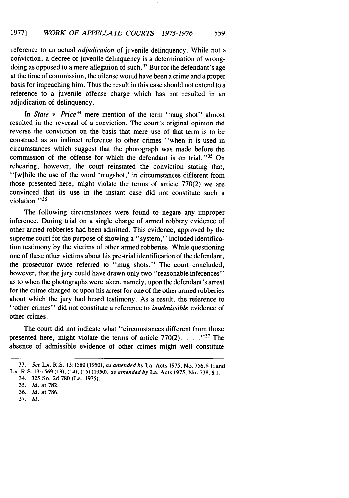reference to an actual *adjudication* of juvenile delinquency. While not a conviction, a decree of juvenile delinquency is a determination of wrongdoing as opposed to a mere allegation of such.<sup>33</sup> But for the defendant's age at the time of commission, the offense would have been a crime and a proper basis for impeaching him. Thus the result in this case should not extend to a reference to a juvenile offense charge which has not resulted in an adjudication of delinquency.

In *State v. Price34* mere mention of the term "mug shot" almost resulted in the reversal of a conviction. The court's original opinion did reverse the conviction on the basis that mere use of that term is to be construed as an indirect reference to other crimes "when it is used in circumstances which suggest that the photograph was made before the commission of the offense for which the defendant is on trial."<sup>35</sup> On rehearing, however, the court reinstated the conviction stating that, "[w]hile the use of the word 'mugshot,' in circumstances different from those presented here, might violate the terms of article 770(2) we are convinced that its use in the instant case did not constitute such a violation. **"36**

The following circumstances were found to negate any improper inference. During trial on a single charge of armed robbery evidence of other armed robberies had been admitted. This evidence, approved by the supreme court for the purpose of showing a "system," included identification testimony by the victims of other armed robberies. While questioning one of these other victims about his pre-trial identification of the defendant, the prosecutor twice referred to "mug shots." The court concluded, however, that the jury could have drawn only two "reasonable inferences" as to when the photographs were taken, namely, upon the defendant's arrest for the crime charged or upon his arrest for one of the other armed robberies about which the jury had heard testimony. As a result, the reference to "other crimes" did not constitute a reference to *inadmissible* evidence of other crimes.

The court did not indicate what "circumstances different from those presented here, might violate the terms of article  $770(2)$ .....<sup>37</sup> The absence of admissible evidence of other crimes might well constitute

<sup>33.</sup> See **LA.** R.S. 13:1580 (1950), as amended by La. Acts 1975, No. 756, § **1;** and

**LA. R.S. 13:1569 (13),** (14), **(15) (1950),** as amended **by** La. Acts **1975,** No. **738, § 1.**

<sup>34.</sup> **325** So. **2d 780** (La. **1975).**

<sup>35.</sup> Id. at **782.**

<sup>36.</sup> Id. at 786.

<sup>37.</sup> **Id.**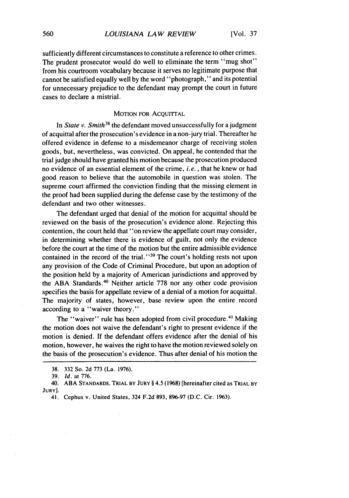sufficiently different circumstances to constitute a reference to other crimes. The prudent prosecutor would do well to eliminate the term "mug shot" from his courtroom vocabulary because it serves no legitimate purpose that cannot be satisfied equally well by the word "photograph," and its potential for unnecessary prejudice to the defendant may prompt the court in future cases to declare a mistrial.

# **MOTION** FOR ACQUITTAL

In *State v. Smith38* the defendant moved unsuccessfully for a judgment of acquittal after the prosecution's evidence in a non-jury trial. Thereafter he offered evidence in defense to a misdemeanor charge of receiving stolen goods, but, nevertheless, was convicted. On appeal, he contended that the trial judge should have granted his motion because the prosecution produced no evidence of an essential element of the crime, *i.e.* , that he knew or had good reason to believe that the automobile in question was stolen. The supreme court affirmed the conviction finding that the missing element in the proof had been supplied during the defense case by the testimony of the defendant and two other witnesses.

The defendant urged that denial of the motion for acquittal should be reviewed on the basis of the prosecution's evidence alone. Rejecting this contention, the court held that '"on review the appellate court may consider, in determining whether there is evidence of guilt, not only the evidence before the court at the time of the motion but the entire admissible evidence contained in the record of the trial."<sup>39</sup> The court's holding rests not upon any provision of the Code of Criminal Procedure, but upon an adoption of the position held by a majority of American jurisdictions and approved by the ABA Standards.<sup>40</sup> Neither article 778 nor any other code provision specifies the basis for appellate review of a denial of a motion for acquittal. The majority of states, however, base review upon the entire record according to a "waiver theory."

The "waiver" rule has been adopted from civil procedure.<sup>41</sup> Making the motion does not waive the defendant's right to present evidence if the motion is denied. If the defendant offers evidence after the denial of his motion, however, he waives the right to have the motion reviewed solely on the basis of the prosecution's evidence. Thus after denial of his motion the

<sup>38. 332</sup> So. 2d 773 (La. 1976).

<sup>39.</sup> *Id.* at 776.

<sup>40.</sup> ABA **STANDARDS,** TRIAL **BY JURY** § 4.5 (1968) [hereinafter cited as TRIAL BY **JURY].**

<sup>41.</sup> Cephus v. United States, 324 F.2d 893, **896-97** (D.C. Cir. 1963).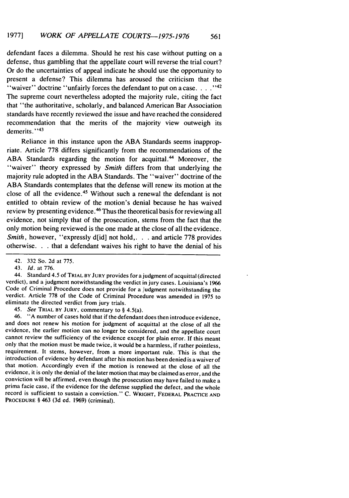defendant faces a dilemma. Should he rest his case without putting on a defense, thus gambling that the appellate court will reverse the trial court? Or do the uncertainties of appeal indicate he should use the opportunity to present a defense? This dilemma has aroused the criticism that the "waiver" doctrine "unfairly forces the defendant to put on a case. . . . .<sup>142</sup> The supreme court nevertheless adopted the majority rule, citing the fact that "the authoritative, scholarly, and balanced American Bar Association standards have recently reviewed the issue and have reached the considered recommendation that the merits of the majority view outweigh its demerits."43

Reliance in this instance upon the ABA Standards seems inappropriate. Article 778 differs significantly from the recommendations of the ABA Standards regarding the motion for acquittal.<sup>44</sup> Moreover, the "waiver" theory expressed by *Smith* differs from that underlying the majority rule adopted in the ABA Standards. The "waiver" doctrine of the ABA Standards contemplates that the defense will renew its motion at the close of all the evidence. 45 Without such a renewal the defendant is not entitled to obtain review of the motion's denial because he has waived review by presenting evidence.<sup>46</sup> Thus the theoretical basis for reviewing all evidence, not simply that of the prosecution, stems from the fact that the only motion being reviewed is the one made at the close of all the evidence. *Smith, however, "expressly d[id] not hold,...* and article 778 provides otherwise. **.** that a defendant waives his right to have the denial of his

44. Standard 4.5 of TRIAL BY **JURY** provides for a judgment of acquittal (directed verdict), and a judgment notwithstanding the verdict in jury cases. Louisiana's 1966 Code of Criminal Procedure does not provide for a judgment notwithstanding the verdict. Article 778 of the Code of Criminal Procedure was amended in 1975 to eliminate the directed verdict from jury trials.

45. See **TRIAL** BY **JURY,** commentary to § 4.5(a).

46. **"A** number of cases hold that if the defendant does then introduce evidence, and does not renew his motion for judgment of acquittal at the close of all the evidence, the earlier motion can no longer be considered, and the appellate court cannot review the sufficiency of the evidence except for plain error. If this meant only that the motion must be made twice, it would be a harmless, if rather pointless, requirement. It stems, however, from a more important rule. This is that the introduction of evidence by defendant after his motion has been denied is a waiver of that motion. Accordingly even if the motion is renewed at the close of all the evidence, it is only the denial of the later motion that may be claimed as error, and the conviction will be affirmed, even though the prosecution may have failed to make a prima facie case, if the evidence for the defense supplied the defect, and the whole record is sufficient to sustain a conviction." C. WRIGHT, FEDERAL PRACTICE **AND** PROCEDURE § 463 (3d ed. 1969) (criminal).

<sup>42. 332</sup> So. 2d at 775.

<sup>43.</sup> *Id.* at 776.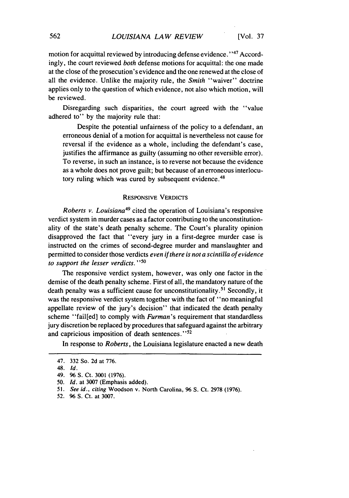motion for acquittal reviewed by introducing defense evidence.<sup>147</sup> Accordingly, the court reviewed *both* defense motions for acquittal: the one made at the close of the prosecution's evidence and the one renewed at the close of all the evidence. Unlike the majority rule, the *Smith* "waiver" doctrine applies only to the question of which evidence, not also which motion, will be reviewed.

Disregarding such disparities, the court agreed with the "value adhered to" by the majority rule that:

Despite the potential unfairness of the policy to a defendant, an erroneous denial of a motion for acquittal is nevertheless not cause for reversal if the evidence as a whole, including the defendant's case, justifies the affirmance as guilty (assuming no other reversible error). To reverse, in such an instance, is to reverse not because the evidence as a whole does not prove guilt; but because of an erroneous interlocutory ruling which was cured by subsequent evidence.<sup>48</sup>

# RESPONSIVE VERDICTS

*Roberts v. Louisiana49* cited the operation of Louisiana's responsive verdict system in murder cases as a factor contributing to the unconstitutionality of the state's death penalty scheme. The Court's plurality opinion disapproved the fact that "every jury in a first-degree murder case is instructed on the crimes of second-degree murder and manslaughter and permitted to consider those verdicts *even if there is not a scintilla of evidence to support the lesser verdicts. "50*

The responsive verdict system, however, was only one factor in the demise of the death penalty scheme. First of all, the mandatory nature of the death penalty was a sufficient cause for unconstitutionality.<sup>51</sup> Secondly, it was the responsive verdict system together with the fact of "no meaningful appellate review of the jury's decision" that indicated the death penalty scheme "fail[ed] to comply with *Furman's* requirement that standardless jury discretion be replaced by procedures that safeguard against the arbitrary and capricious imposition of death sentences."<sup>52</sup>

In response to *Roberts,* the Louisiana legislature enacted a new death

<sup>47. 332</sup> So. 2d at 776.

<sup>48.</sup> *Id.*

<sup>49. 96</sup> S. Ct. 3001 (1976).

*<sup>50.</sup> Id.* at 3007 (Emphasis added).

*<sup>51.</sup> See id., citing* Woodson v. North Carolina, 96 **S.** Ct. 2978 (1976).

<sup>52. 96</sup> **S.** Ct. at 3007.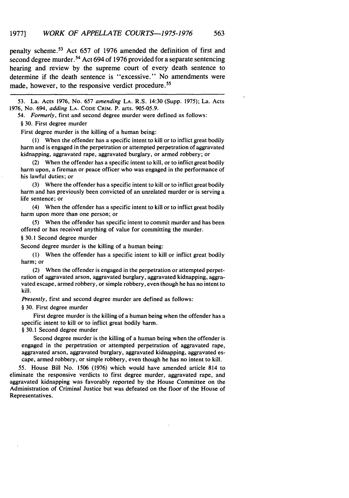penalty scheme.<sup>53</sup> Act 657 of 1976 amended the definition of first and second degree murder.<sup>54</sup> Act 694 of 1976 provided for a separate sentencing hearing and review by the supreme court of every death sentence to determine if the death sentence is "excessive." No amendments were made, however, to the responsive verdict procedure.<sup>55</sup>

53. La. Acts 1976, No. 657 *amending* LA. R.S. 14:30 (Supp. 1975); La. Acts 1976, No. 694, *adding* LA. CODE CRIM. P. arts. 905-05.9.

54. *Formerly,* first and second degree murder were defined as follows:

§ 30. First degree murder

First degree murder is the killing of a human being:

(1) When the offender has a specific intent to kill or to inflict great bodily harm and is engaged in the perpetration or attempted perpetration of aggravated kidnapping, aggravated rape, aggravated burglary, or armed robbery; or

(2) When the offender has a specific intent to kill, or to inflict great bodily harm upon, a fireman or peace officer who was engaged in the performance of his lawful duties; or

Where the offender has a specific intent to kill or to inflict great bodily harm and has previously been convicted of an unrelated murder or is serving a life sentence; or

(4) When the offender has a specific intent to kill or to inflict great bodily harm upon more than one person; or

(5) When the offender has specific intent to commit murder and has been offered or has received anything of value for committing the murder.

§ 30.1 Second degree murder

Second degree murder is the killing of a human being:

(I) When the offender has a specific intent to kill or inflict great bodily harm; or

(2) When the offender is engaged in the perpetration or attempted perpetration of aggravated arson, aggravated burglary, aggravated kidnapping, aggravated escape, armed robbery, or simple robbery, even though he has no intent to kill.

*Presently,* first and second degree murder are defined as follows:

§ 30. First degree murder

First degree murder is the killing of a human being when the offender has a specific intent to kill or to inflict great bodily harm.

§ 30.1 Second degree murder

Second degree murder is the killing of a human being when the offender is engaged in the perpetration or attempted perpetration of aggravated rape, aggravated arson, aggravated burglary, aggravated kidnapping, aggravated escape, armed robbery, or simple robbery, even though he has no intent to kill.

55. House Bill No. 1506 (1976) which would have amended article 814 to eliminate the responsive verdicts to first degree murder, aggravated rape, and aggravated kidnapping was favorably reported **by** the House Committee on the Administration of Criminal Justice but was defeated on the floor of the House of Representatives.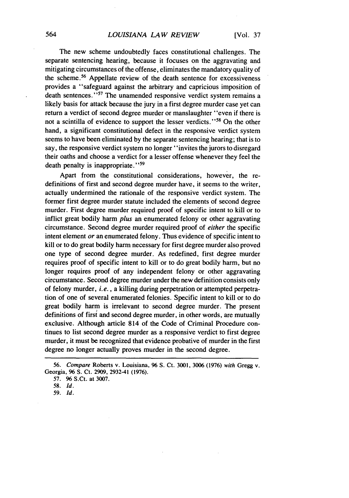The new scheme undoubtedly faces constitutional challenges. The separate sentencing hearing, because it focuses on the aggravating and mitigating circumstances of the offense, eliminates the mandatory quality of the scheme.56 Appellate review of the death sentence for excessiveness provides a "safeguard against the arbitrary and capricious imposition of death sentences."<sup>57</sup> The unamended responsive verdict system remains a likely basis for attack because the jury in a first degree murder case yet can return a verdict of second degree murder or manslaughter "even if there is not a scintilla of evidence to support the lesser verdicts. **"58** On the other hand, a significant constitutional defect in the responsive verdict system seems to have been eliminated by the separate sentencing hearing; that is to say, the responsive verdict system no longer "invites the jurors to disregard their oaths and choose a verdict for a lesser offense whenever they feel the death penalty is inappropriate."<sup>59</sup>

Apart from the constitutional considerations, however, the redefinitions of first and second degree murder have, it seems to the writer, actually undermined the rationale of the responsive verdict system. The former first degree murder statute included the elements of second degree murder. First degree murder required proof of specific intent to kill or to inflict great bodily harm *plus* an enumerated felony or other aggravating circumstance. Second degree murder required proof of *either* the specific intent element *or* an enumerated felony. Thus evidence of specific intent to kill or to do great bodily harm necessary for first degree murder also proved one type of second degree murder. As redefined, first degree murder requires proof of specific intent to kill or to do great bodily harm, but no longer requires proof of any independent felony or other aggravating circumstance. Second degree murder under the new definition consists only of felony murder, *i.e.,* a killing during perpetration or attempted perpetration of one of several enumerated felonies. Specific intent to kill or to do great bodily harm is irrelevant to second degree murder. The present definitions of first and second degree murder, in other words, are mutually exclusive. Although article 814 of the Code of Criminal Procedure continues to list second degree murder as a responsive verdict to first degree murder, it must be recognized that evidence probative of murder in the first degree no longer actually proves murder in the second degree.

*<sup>56.</sup> Compare* Roberts v. Louisiana, **96** S. Ct. 3001, 3006 (1976) *with* Gregg v. Georgia, **96** S. Ct. 2909, 2932-41 (1976).

<sup>57.</sup> **96** S.Ct. at 3007.

*<sup>58.</sup> Id.*

*<sup>59.</sup> Id.*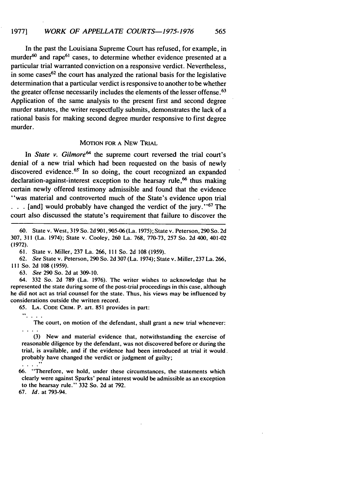In the past the Louisiana Supreme Court has refused, for example, in murder<sup>60</sup> and rape<sup>61</sup> cases, to determine whether evidence presented at a particular trial warranted conviction on a responsive verdict. Nevertheless, in some cases<sup>62</sup> the court has analyzed the rational basis for the legislative determination that a particular verdict is responsive to another to be whether the greater offense necessarily includes the elements of the lesser offense. <sup>63</sup> Application of the same analysis to the present first and second degree murder statutes, the writer respectfully submits, demonstrates the lack of a rational basis for making second degree murder responsive to first degree murder.

# MOTION FOR A NEW TRIAL

In *State v. Gilmore*<sup>64</sup> the supreme court reversed the trial court's denial of a new trial which had been requested on the basis of newly discovered evidence.<sup> $65$ </sup> In so doing, the court recognized an expanded declaration-against-interest exception to the hearsay rule,  $66$  thus making certain newly offered testimony admissible and found that the evidence "was material and controverted much of the State's evidence upon trial

**. . .**[and] would probably have changed the verdict of the jury. **"67** The court also discussed the statute's requirement that failure to discover the

60. State v. West, 319 So. 2d 901,905-06 (La. 1975); State v. Peterson, 290 So. 2d 307, 311 (La. 1974); State v. Cooley, 260 La. 768, 770-73, 257 So. 2d 400, 401-02 (1972).

61. State v. Miller, 237 La. 266, 111 So. 2d 108 (1959).

62. *See* State v. Peterson, 290 So. 2d 307 (La. 1974); State v. Miller, 237 La. 266, **111** So. 2d 108 (1959).

63. *See* 290 So. **2d** at 309-10.

64. 332 So. 2d 789 (La. 1976). The writer wishes to acknowledge that he represented the state during some of the post-trial proceedings in this case, although he did not act as trial counsel for the state. Thus, his views may be influenced **by** considerations outside the written record.

65. **LA. CODE** CRIM. P. art. 851 provides in part:

 $\mathcal{C}_{\mathcal{C}}$  .

The court, on motion of the defendant, shall grant a new trial whenever:

(3) New and material evidence that, notwithstanding the exercise of reasonable diligence **by** the defendant, was not discovered before or during the trial, is available, and if the evidence had been introduced at trial it would. probably have changed the verdict or judgment of guilty;

 $\ldots$  "

66. "Therefore, we hold, under these circumstances, the statements which clearly were against Sparks' penal interest would be admissible as an exception to the hearsay rule." 332 So. 2d at 792.

<sup>67.</sup> *Id.* at 793-94.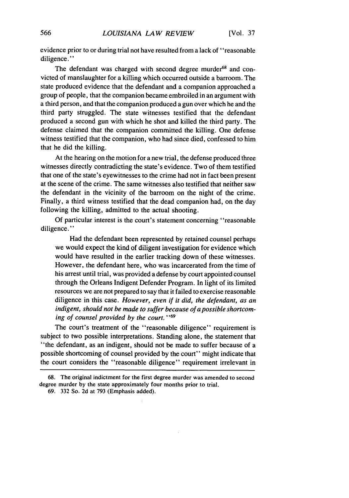evidence prior to or during trial not have resulted from a lack of "reasonable diligence."

The defendant was charged with second degree murder<sup>68</sup> and convicted of manslaughter for a killing which occurred outside a barroom. The state produced evidence that the defendant and a companion approached a group of people, that the companion became embroiled in an argument with a third person, and that the companion produced a gun over which he and the third party struggled. The state witnesses testified that the defendant produced a second gun with which he shot and killed the third party. The defense claimed that the companion committed the killing. One defense witness testified that the companion, who had since died, confessed to him that he did the killing.

At the hearing on the motion for a new trial, the defense produced three witnesses directly contradicting the state's evidence. Two of them testified that one of the state's eyewitnesses to the crime had not in fact been present at the scene of the crime. The same witnesses also testified that neither saw the defendant in the vicinity of the barroom on the night of the crime. Finally, a third witness testified that the dead companion had, on the day following the killing, admitted to the actual shooting.

Of particular interest is the court's statement concerning "reasonable diligence."

Had the defendant been represented by retained counsel perhaps we would expect the kind of diligent investigation for evidence which would have resulted in the earlier tracking down of these witnesses. However, the defendant here, who was incarcerated from the time of his arrest until trial, was provided a defense by court appointed counsel through the Orleans Indigent Defender Program. In light of its limited resources we are not prepared to say that it failed to exercise reasonable diligence in this case. However, even *if it did, the defendant, as an indigent, should not be made to suffer because of a possible shortcoming of counsel provided by the court. "69*

The court's treatment of the "reasonable diligence" requirement is subject to two possible interpretations. Standing alone, the statement that "the defendant, as an indigent, should not be made to suffer because of a possible shortcoming of counsel provided by the court" might indicate that the court considers the "reasonable diligence" requirement irrelevant in

<sup>68.</sup> The original indictment for the first degree murder was amended to second degree murder by the state approximately four months prior to trial.

<sup>69. 332</sup> So. 2d at 793 (Emphasis added).